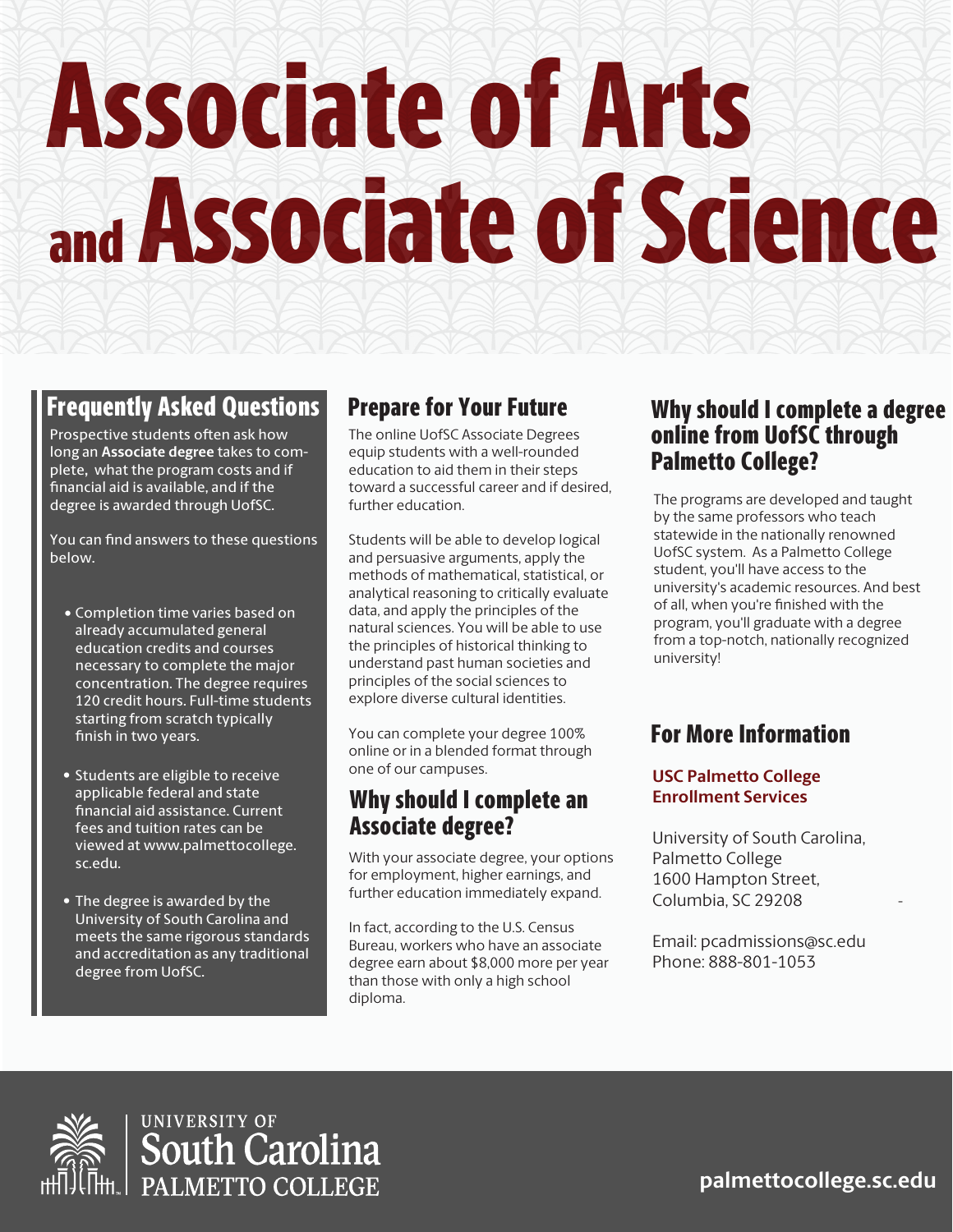# Associate of Arts and Associate of Science

# Prepare for Your Future Why should I complete a degree online from UofSC through Palmetto College?

-

# Frequently Asked Questions

**palmettocollege.sc.edu**

The online UofSC Associate Degrees equip students with a well-rounded education to aid them in their steps toward a successful career and if desired, further education.

Students will be able to develop logical and persuasive arguments, apply the methods of mathematical, statistical, or analytical reasoning to critically evaluate data, and apply the principles of the natural sciences. You will be able to use the principles of historical thinking to understand past human societies and

Prospective students often ask how long an **Associate degree** takes to complete**,** what the program costs and if nancial aid is available, and if the degree is awarded through UofSC.

You can find answers to these questions below.

> principles of the social sciences to explore diverse cultural identities.

You can complete your degree 100% online or in a blended format through one of our campuses.

With your associate degree, your options for employment, higher earnings, and further education immediately expand.

- Students are eligible to receive applicable federal and state nancial aid assistance. Current fees and tuition rates can be viewed at www.palmettocollege. sc.edu.
- The degree is awarded by the University of South Carolina and meets the same rigorous standards and accreditation as any traditional degree from UofSC.

In fact, according to the U.S. Census Bureau, workers who have an associate degree earn about \$8,000 more per year than those with only a high school diploma.

concentration. The degree requires 120 credit hours. Full-time students starting from scratch typically finish in two years.

• Completion time varies based on already accumulated general education credits and courses necessary to complete the major

# For More Information

The programs are developed and taught by the same professors who teach statewide in the nationally renowned UofSC system. As a Palmetto College student, you'll have access to the university's academic resources. And best of all, when you're finished with the program, you'll graduate with a degree from a top-notch, nationally recognized university!

# Why should I complete an Associate degree?

## **USC Palmetto College Enrollment Services**

University of South Carolina, Palmetto College 1600 Hampton Street, Columbia, SC 29208

Email: pcadmissions@sc.edu Phone: 888-801-1053